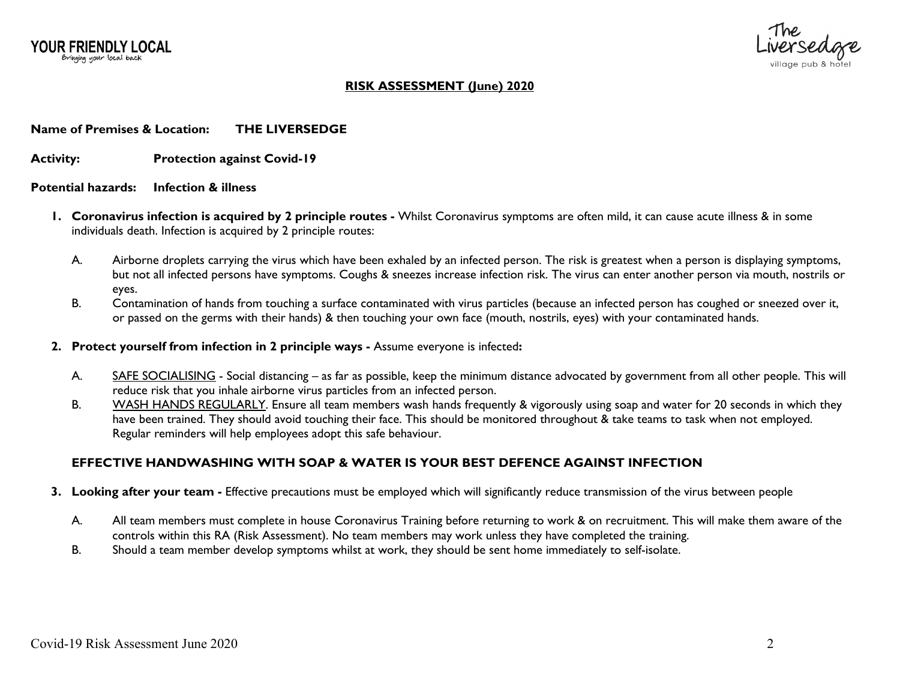YOUR FRIENDLY LOCAL Bringing your local back



# **RISK ASSESSMENT (June) 2020**

### **Name of Premises & Location: THE LIVERSEDGE**

**Activity: Protection against Covid-19**

#### **Potential hazards: Infection & illness**

- **1. Coronavirus infection is acquired by 2 principle routes -** Whilst Coronavirus symptoms are often mild, it can cause acute illness & in some individuals death. Infection is acquired by 2 principle routes:
	- A. Airborne droplets carrying the virus which have been exhaled by an infected person. The risk is greatest when a person is displaying symptoms, but not all infected persons have symptoms. Coughs & sneezes increase infection risk. The virus can enter another person via mouth, nostrils or eyes.
	- B. Contamination of hands from touching a surface contaminated with virus particles (because an infected person has coughed or sneezed over it, or passed on the germs with their hands) & then touching your own face (mouth, nostrils, eyes) with your contaminated hands.
- **2. Protect yourself from infection in 2 principle ways -** Assume everyone is infected**:**
	- A. SAFE SOCIALISING Social distancing as far as possible, keep the minimum distance advocated by government from all other people. This will reduce risk that you inhale airborne virus particles from an infected person.
	- B. WASH HANDS REGULARLY. Ensure all team members wash hands frequently & vigorously using soap and water for 20 seconds in which they have been trained. They should avoid touching their face. This should be monitored throughout & take teams to task when not employed. Regular reminders will help employees adopt this safe behaviour.

# **EFFECTIVE HANDWASHING WITH SOAP & WATER IS YOUR BEST DEFENCE AGAINST INFECTION**

- **3. Looking after your team -** Effective precautions must be employed which will significantly reduce transmission of the virus between people
	- A. All team members must complete in house Coronavirus Training before returning to work & on recruitment. This will make them aware of the controls within this RA (Risk Assessment). No team members may work unless they have completed the training.
	- B. Should a team member develop symptoms whilst at work, they should be sent home immediately to self-isolate.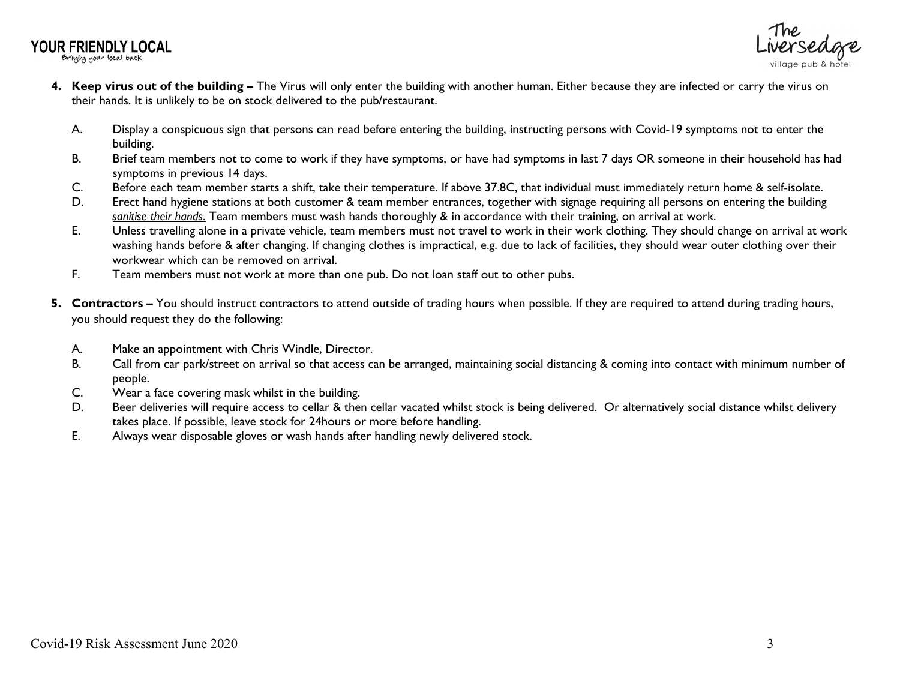**YOUR FRIENDLY LOCAL** 

Bringing your local back



- **4. Keep virus out of the building –** The Virus will only enter the building with another human. Either because they are infected or carry the virus on their hands. It is unlikely to be on stock delivered to the pub/restaurant.
	- A. Display a conspicuous sign that persons can read before entering the building, instructing persons with Covid-19 symptoms not to enter the building.
	- B. Brief team members not to come to work if they have symptoms, or have had symptoms in last 7 days OR someone in their household has had symptoms in previous 14 days.
	- C. Before each team member starts a shift, take their temperature. If above 37.8C, that individual must immediately return home & self-isolate.
	- D. Erect hand hygiene stations at both customer & team member entrances, together with signage requiring all persons on entering the building *sanitise their hands*. Team members must wash hands thoroughly & in accordance with their training, on arrival at work.
	- E. Unless travelling alone in a private vehicle, team members must not travel to work in their work clothing. They should change on arrival at work washing hands before & after changing. If changing clothes is impractical, e.g. due to lack of facilities, they should wear outer clothing over their workwear which can be removed on arrival.
	- F. Team members must not work at more than one pub. Do not loan staff out to other pubs.
- **5. Contractors –** You should instruct contractors to attend outside of trading hours when possible. If they are required to attend during trading hours, you should request they do the following:
	- A. Make an appointment with Chris Windle, Director.
	- B. Call from car park/street on arrival so that access can be arranged, maintaining social distancing & coming into contact with minimum number of people.
	- C. Wear a face covering mask whilst in the building.
	- D. Beer deliveries will require access to cellar & then cellar vacated whilst stock is being delivered. Or alternatively social distance whilst delivery takes place. If possible, leave stock for 24hours or more before handling.
	- E. Always wear disposable gloves or wash hands after handling newly delivered stock.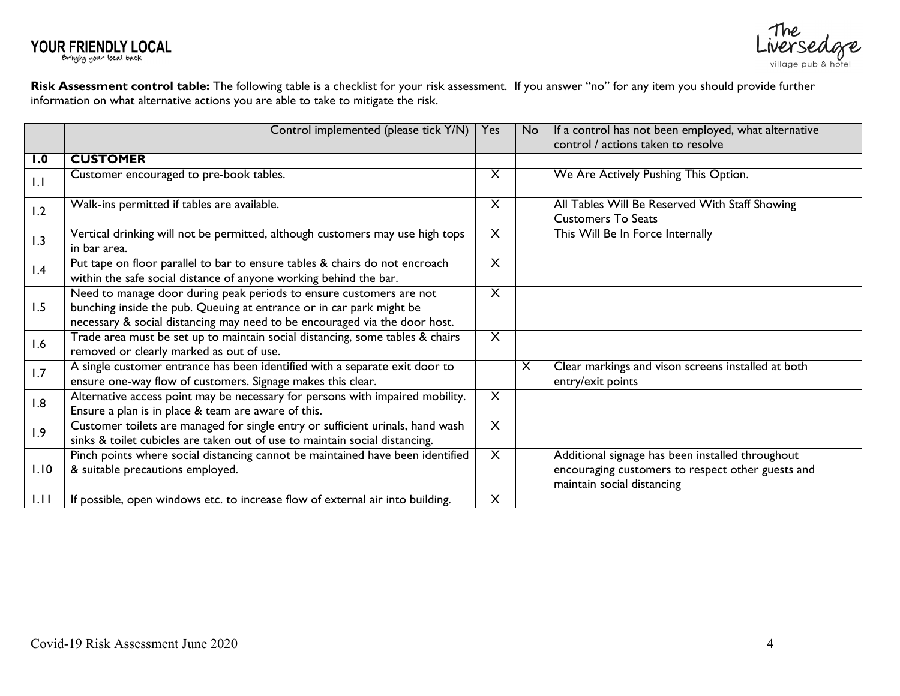



**Risk Assessment control table:** The following table is a checklist for your risk assessment. If you answer "no" for any item you should provide further information on what alternative actions you are able to take to mitigate the risk.

|      | Control implemented (please tick Y/N)                                                                                                                                                                                     | Yes                     | No | If a control has not been employed, what alternative<br>control / actions taken to resolve                                          |
|------|---------------------------------------------------------------------------------------------------------------------------------------------------------------------------------------------------------------------------|-------------------------|----|-------------------------------------------------------------------------------------------------------------------------------------|
| 1.0  | <b>CUSTOMER</b>                                                                                                                                                                                                           |                         |    |                                                                                                                                     |
| 1.1  | Customer encouraged to pre-book tables.                                                                                                                                                                                   | X                       |    | We Are Actively Pushing This Option.                                                                                                |
| 1.2  | Walk-ins permitted if tables are available.                                                                                                                                                                               | $\times$                |    | All Tables Will Be Reserved With Staff Showing<br><b>Customers To Seats</b>                                                         |
| 1.3  | Vertical drinking will not be permitted, although customers may use high tops<br>in bar area.                                                                                                                             | $\overline{\mathsf{X}}$ |    | This Will Be In Force Internally                                                                                                    |
| 1.4  | Put tape on floor parallel to bar to ensure tables & chairs do not encroach<br>within the safe social distance of anyone working behind the bar.                                                                          | X                       |    |                                                                                                                                     |
| 1.5  | Need to manage door during peak periods to ensure customers are not<br>bunching inside the pub. Queuing at entrance or in car park might be<br>necessary & social distancing may need to be encouraged via the door host. | X                       |    |                                                                                                                                     |
| 1.6  | Trade area must be set up to maintain social distancing, some tables & chairs<br>removed or clearly marked as out of use.                                                                                                 | $\overline{X}$          |    |                                                                                                                                     |
| 1.7  | A single customer entrance has been identified with a separate exit door to<br>ensure one-way flow of customers. Signage makes this clear.                                                                                |                         | X  | Clear markings and vison screens installed at both<br>entry/exit points                                                             |
| 1.8  | Alternative access point may be necessary for persons with impaired mobility.<br>Ensure a plan is in place & team are aware of this.                                                                                      | $\overline{\mathsf{X}}$ |    |                                                                                                                                     |
| 1.9  | Customer toilets are managed for single entry or sufficient urinals, hand wash<br>sinks & toilet cubicles are taken out of use to maintain social distancing.                                                             | $\overline{\mathsf{X}}$ |    |                                                                                                                                     |
| 1.10 | Pinch points where social distancing cannot be maintained have been identified<br>& suitable precautions employed.                                                                                                        | $\overline{X}$          |    | Additional signage has been installed throughout<br>encouraging customers to respect other guests and<br>maintain social distancing |
| 1.11 | If possible, open windows etc. to increase flow of external air into building.                                                                                                                                            | X                       |    |                                                                                                                                     |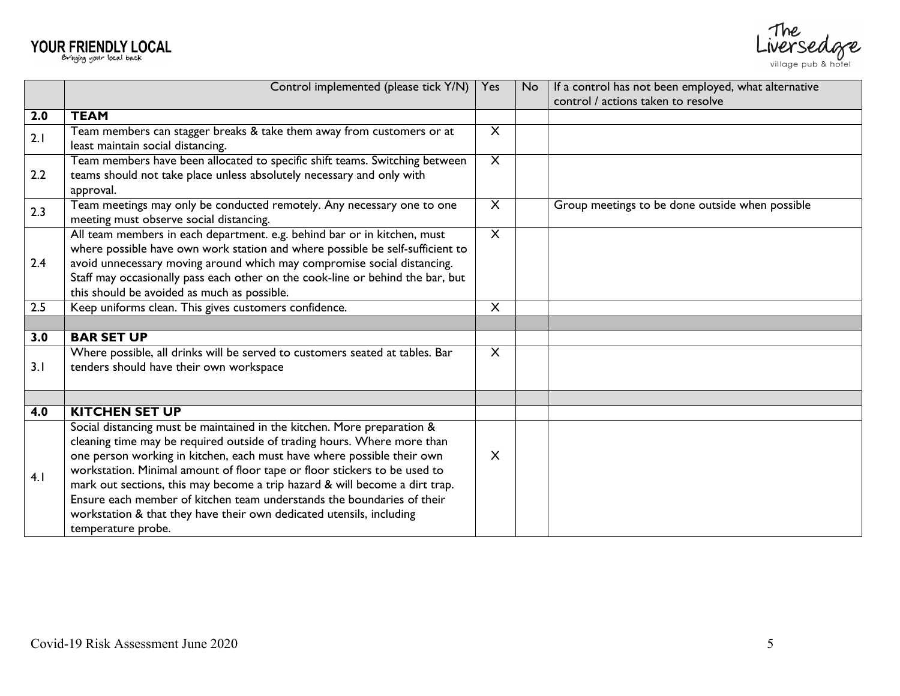# YOUR FRIENDLY LOCAL



|                  | Control implemented (please tick Y/N)                                                                                                                 | Yes                     | <b>No</b> | If a control has not been employed, what alternative |
|------------------|-------------------------------------------------------------------------------------------------------------------------------------------------------|-------------------------|-----------|------------------------------------------------------|
|                  |                                                                                                                                                       |                         |           | control / actions taken to resolve                   |
| 2.0              | <b>TEAM</b>                                                                                                                                           |                         |           |                                                      |
| 2.1              | Team members can stagger breaks & take them away from customers or at                                                                                 | X                       |           |                                                      |
|                  | least maintain social distancing.                                                                                                                     |                         |           |                                                      |
|                  | Team members have been allocated to specific shift teams. Switching between                                                                           | $\overline{\mathsf{X}}$ |           |                                                      |
| 2.2              | teams should not take place unless absolutely necessary and only with                                                                                 |                         |           |                                                      |
|                  | approval.                                                                                                                                             |                         |           |                                                      |
| 2.3              | Team meetings may only be conducted remotely. Any necessary one to one                                                                                | $\times$                |           | Group meetings to be done outside when possible      |
|                  | meeting must observe social distancing.                                                                                                               |                         |           |                                                      |
|                  | All team members in each department. e.g. behind bar or in kitchen, must                                                                              | $\overline{\mathsf{X}}$ |           |                                                      |
|                  | where possible have own work station and where possible be self-sufficient to                                                                         |                         |           |                                                      |
| 2.4              | avoid unnecessary moving around which may compromise social distancing.                                                                               |                         |           |                                                      |
|                  | Staff may occasionally pass each other on the cook-line or behind the bar, but                                                                        |                         |           |                                                      |
|                  | this should be avoided as much as possible.                                                                                                           |                         |           |                                                      |
| 2.5              | Keep uniforms clean. This gives customers confidence.                                                                                                 | $\overline{\mathsf{X}}$ |           |                                                      |
|                  |                                                                                                                                                       |                         |           |                                                      |
| 3.0              | <b>BAR SET UP</b>                                                                                                                                     |                         |           |                                                      |
|                  | Where possible, all drinks will be served to customers seated at tables. Bar                                                                          | X                       |           |                                                      |
| 3.1              | tenders should have their own workspace                                                                                                               |                         |           |                                                      |
|                  |                                                                                                                                                       |                         |           |                                                      |
|                  | <b>KITCHEN SET UP</b>                                                                                                                                 |                         |           |                                                      |
| $\overline{4.0}$ |                                                                                                                                                       |                         |           |                                                      |
|                  | Social distancing must be maintained in the kitchen. More preparation &                                                                               |                         |           |                                                      |
|                  | cleaning time may be required outside of trading hours. Where more than                                                                               | X                       |           |                                                      |
|                  | one person working in kitchen, each must have where possible their own                                                                                |                         |           |                                                      |
| 4.1              | workstation. Minimal amount of floor tape or floor stickers to be used to                                                                             |                         |           |                                                      |
|                  | mark out sections, this may become a trip hazard & will become a dirt trap.<br>Ensure each member of kitchen team understands the boundaries of their |                         |           |                                                      |
|                  |                                                                                                                                                       |                         |           |                                                      |
|                  | workstation & that they have their own dedicated utensils, including                                                                                  |                         |           |                                                      |
|                  | temperature probe.                                                                                                                                    |                         |           |                                                      |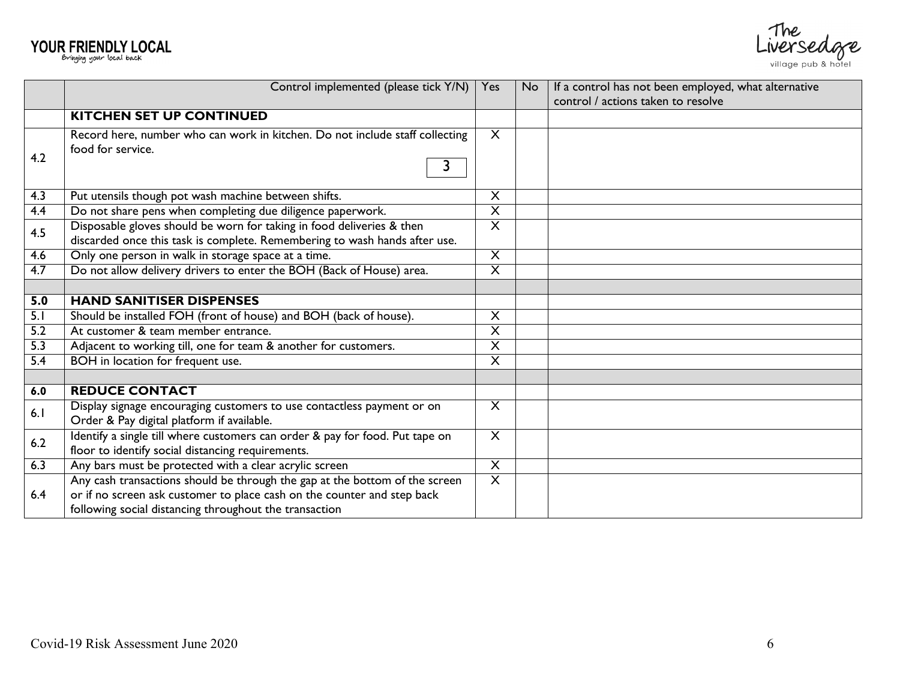



|                  | Control implemented (please tick Y/N)                                                                                                               | Yes                     | No. | If a control has not been employed, what alternative |
|------------------|-----------------------------------------------------------------------------------------------------------------------------------------------------|-------------------------|-----|------------------------------------------------------|
|                  |                                                                                                                                                     |                         |     | control / actions taken to resolve                   |
|                  | <b>KITCHEN SET UP CONTINUED</b>                                                                                                                     |                         |     |                                                      |
| 4.2              | Record here, number who can work in kitchen. Do not include staff collecting<br>food for service.                                                   | $\times$                |     |                                                      |
| 4.3              | Put utensils though pot wash machine between shifts.                                                                                                | X                       |     |                                                      |
| $\overline{4.4}$ | Do not share pens when completing due diligence paperwork.                                                                                          | $\overline{\mathsf{x}}$ |     |                                                      |
| 4.5              | Disposable gloves should be worn for taking in food deliveries & then<br>discarded once this task is complete. Remembering to wash hands after use. | $\overline{\mathsf{x}}$ |     |                                                      |
| 4.6              | Only one person in walk in storage space at a time.                                                                                                 | $\overline{X}$          |     |                                                      |
| 4.7              | Do not allow delivery drivers to enter the BOH (Back of House) area.                                                                                | $\overline{\mathsf{X}}$ |     |                                                      |
|                  |                                                                                                                                                     |                         |     |                                                      |
| 5.0              | <b>HAND SANITISER DISPENSES</b>                                                                                                                     |                         |     |                                                      |
| 5.1              | Should be installed FOH (front of house) and BOH (back of house).                                                                                   | X                       |     |                                                      |
| 5.2              | At customer & team member entrance.                                                                                                                 | $\overline{\mathsf{x}}$ |     |                                                      |
| $\overline{5.3}$ | Adjacent to working till, one for team & another for customers.                                                                                     | $\overline{\mathsf{X}}$ |     |                                                      |
| 5.4              | BOH in location for frequent use.                                                                                                                   | $\overline{\mathsf{X}}$ |     |                                                      |
|                  |                                                                                                                                                     |                         |     |                                                      |
| 6.0              | <b>REDUCE CONTACT</b>                                                                                                                               |                         |     |                                                      |
| 6.1              | Display signage encouraging customers to use contactless payment or on<br>Order & Pay digital platform if available.                                | $\overline{\mathsf{x}}$ |     |                                                      |
| 6.2              | Identify a single till where customers can order & pay for food. Put tape on<br>floor to identify social distancing requirements.                   | $\overline{\mathsf{X}}$ |     |                                                      |
| 6.3              | Any bars must be protected with a clear acrylic screen                                                                                              | $\overline{X}$          |     |                                                      |
|                  | Any cash transactions should be through the gap at the bottom of the screen                                                                         | $\overline{\mathsf{X}}$ |     |                                                      |
| 6.4              | or if no screen ask customer to place cash on the counter and step back                                                                             |                         |     |                                                      |
|                  | following social distancing throughout the transaction                                                                                              |                         |     |                                                      |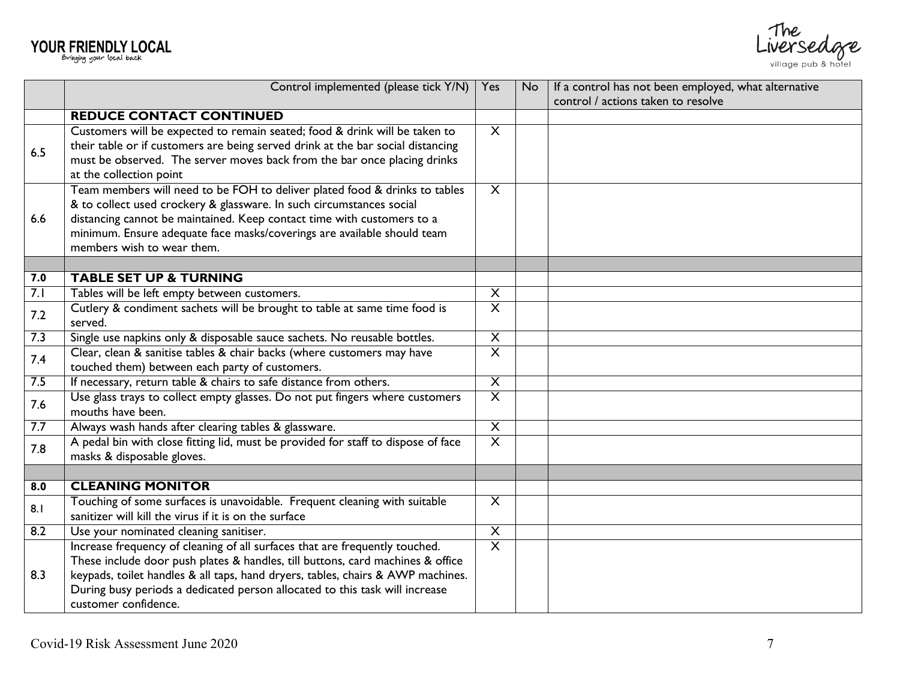| <b>YOUR FRIENDLY LOCAL</b> |  |  |
|----------------------------|--|--|
|                            |  |  |





|     | Control implemented (please tick Y/N)                                             | Yes                     | No. | If a control has not been employed, what alternative |
|-----|-----------------------------------------------------------------------------------|-------------------------|-----|------------------------------------------------------|
|     |                                                                                   |                         |     | control / actions taken to resolve                   |
|     | <b>REDUCE CONTACT CONTINUED</b>                                                   |                         |     |                                                      |
|     | Customers will be expected to remain seated; food & drink will be taken to        | $\overline{\mathsf{X}}$ |     |                                                      |
| 6.5 | their table or if customers are being served drink at the bar social distancing   |                         |     |                                                      |
|     | must be observed. The server moves back from the bar once placing drinks          |                         |     |                                                      |
|     | at the collection point                                                           |                         |     |                                                      |
|     | Team members will need to be FOH to deliver plated food & drinks to tables        | $\times$                |     |                                                      |
|     | & to collect used crockery & glassware. In such circumstances social              |                         |     |                                                      |
| 6.6 | distancing cannot be maintained. Keep contact time with customers to a            |                         |     |                                                      |
|     | minimum. Ensure adequate face masks/coverings are available should team           |                         |     |                                                      |
|     | members wish to wear them.                                                        |                         |     |                                                      |
|     |                                                                                   |                         |     |                                                      |
| 7.0 | <b>TABLE SET UP &amp; TURNING</b>                                                 |                         |     |                                                      |
| 7.1 | Tables will be left empty between customers.                                      | $\overline{\mathsf{X}}$ |     |                                                      |
| 7.2 | Cutlery & condiment sachets will be brought to table at same time food is         | $\overline{\mathsf{X}}$ |     |                                                      |
|     | served.                                                                           |                         |     |                                                      |
| 7.3 | Single use napkins only & disposable sauce sachets. No reusable bottles.          | $\overline{\mathsf{X}}$ |     |                                                      |
| 7.4 | Clear, clean & sanitise tables & chair backs (where customers may have            | $\overline{\mathsf{x}}$ |     |                                                      |
|     | touched them) between each party of customers.                                    |                         |     |                                                      |
| 7.5 | If necessary, return table & chairs to safe distance from others.                 |                         |     |                                                      |
| 7.6 | Use glass trays to collect empty glasses. Do not put fingers where customers      | $\overline{X}$          |     |                                                      |
|     | mouths have been.                                                                 |                         |     |                                                      |
| 7.7 | Always wash hands after clearing tables & glassware.                              | $\overline{X}$          |     |                                                      |
| 7.8 | A pedal bin with close fitting lid, must be provided for staff to dispose of face | $\overline{\mathsf{X}}$ |     |                                                      |
|     | masks & disposable gloves.                                                        |                         |     |                                                      |
|     |                                                                                   |                         |     |                                                      |
| 8.0 | <b>CLEANING MONITOR</b>                                                           |                         |     |                                                      |
| 8.1 | Touching of some surfaces is unavoidable. Frequent cleaning with suitable         | $\times$                |     |                                                      |
|     | sanitizer will kill the virus if it is on the surface                             |                         |     |                                                      |
| 8.2 | Use your nominated cleaning sanitiser.                                            | $\overline{\mathsf{X}}$ |     |                                                      |
|     | Increase frequency of cleaning of all surfaces that are frequently touched.       | $\overline{\mathsf{x}}$ |     |                                                      |
|     | These include door push plates & handles, till buttons, card machines & office    |                         |     |                                                      |
| 8.3 | keypads, toilet handles & all taps, hand dryers, tables, chairs & AWP machines.   |                         |     |                                                      |
|     | During busy periods a dedicated person allocated to this task will increase       |                         |     |                                                      |
|     | customer confidence.                                                              |                         |     |                                                      |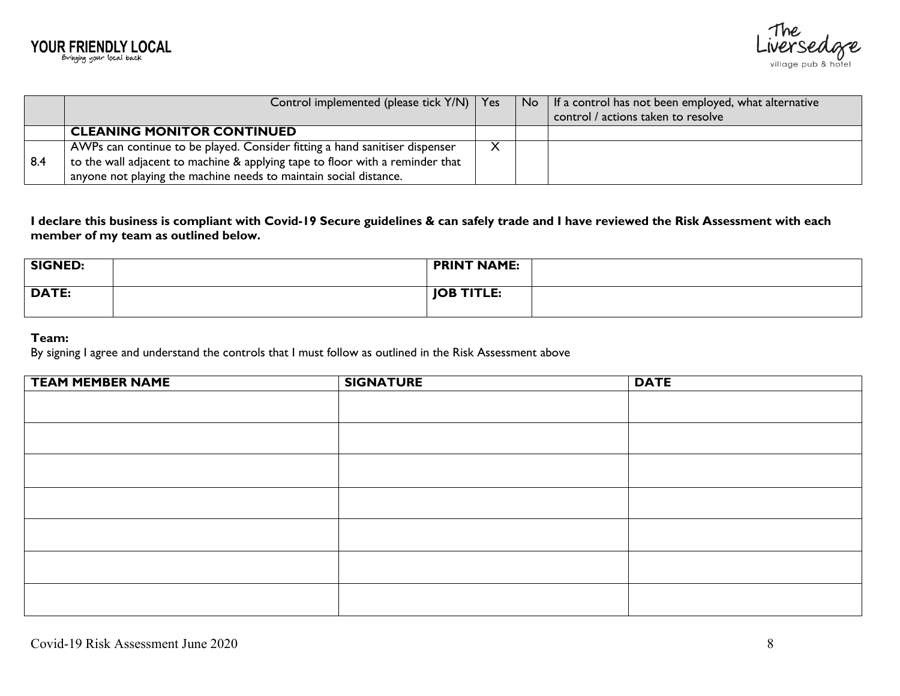

|     | Control implemented (please tick Y/N)   Yes                                   |  | $\overline{N}$   If a control has not been employed, what alternative<br>control / actions taken to resolve |
|-----|-------------------------------------------------------------------------------|--|-------------------------------------------------------------------------------------------------------------|
|     | <b>CLEANING MONITOR CONTINUED</b>                                             |  |                                                                                                             |
|     | AWPs can continue to be played. Consider fitting a hand sanitiser dispenser   |  |                                                                                                             |
| 8.4 | to the wall adjacent to machine & applying tape to floor with a reminder that |  |                                                                                                             |
|     | anyone not playing the machine needs to maintain social distance.             |  |                                                                                                             |

**I declare this business is compliant with Covid-19 Secure guidelines & can safely trade and I have reviewed the Risk Assessment with each member of my team as outlined below.**

| <b>SIGNED:</b> | PRINT NAME:       |  |
|----------------|-------------------|--|
| <b>DATE:</b>   | <b>JOB TITLE:</b> |  |

# **Team:**

By signing I agree and understand the controls that I must follow as outlined in the Risk Assessment above

| <b>TEAM MEMBER NAME</b> | <b>SIGNATURE</b> | <b>DATE</b> |
|-------------------------|------------------|-------------|
|                         |                  |             |
|                         |                  |             |
|                         |                  |             |
|                         |                  |             |
|                         |                  |             |
|                         |                  |             |
|                         |                  |             |
|                         |                  |             |
|                         |                  |             |
|                         |                  |             |
|                         |                  |             |
|                         |                  |             |
|                         |                  |             |
|                         |                  |             |